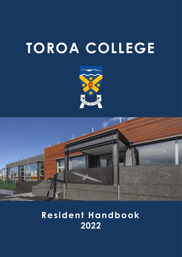# **TOROA COLLEGE**





# **Resident Handbook 2022**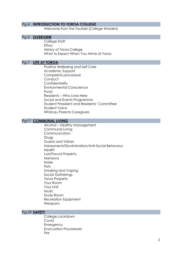## Pg 4 **INTRODUCTION TO TOROA COLLEGE**

Welcome from the Tautiaki (College Warden)

# Pg 5 **OVERVIEW**

College Staff Ethos History of Toroa College What to Expect When You Arrive at Toroa

# Pg 7 **LIFE AT TOROA**

Positive Wellbeing and Self Care Academic Support Complaints procedure **Conduct Confidentiality** Environmental Conscience Food Residents – Who Lives Here Social and Events Programme Student President and Residents' Committee Student Voice Whānau Parents Caregivers

# Pg17 **COMMUNAL LIVING**

Alcohol – Healthy Management Communal Living Communication Drugs Guests and Visitors Harassment/Discrimination/Anti-Social Behaviour Health Lost/Found Property Manawa Noise Pets Smoking and Vaping Social Gatherings Toroa Property Your Room Your Unit **Music** Study Room Recreation Equipment Weapons

# Pg 29 **SAFETY**

College Lockdown Covid **Emergency** Evacuation Procedures Fire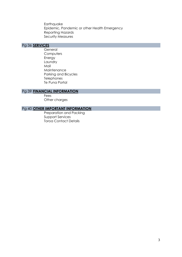**Earthquake** Epidemic, Pandemic or other Health Emergency Reporting Hazards Security Measures

# Pg 36 **SERVICES**

**General Computers** Energy Laundry Mail **Maintenance** Parking and Bicycles **Telephones** Te Puna Portal

# Pg 39 **FINANCIAL INFORMATION**

**Fees** Other charges

# Pg 40 **OTHER IMPORTANT INFORMATION**

Preparation and Packing Support Services Toroa Contact Details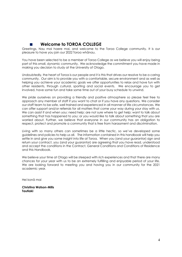# ■ **Welcome to TOROA COLLEGE**

Greetings, Nau mai haere mai, and welcome to the Toroa College community. It is our pleasure to have you join our 2022 Toroa whānau.

You have been selected to be a member of Toroa College as we believe you will enjoy being part of this small, dynamic community. We acknowledge the commitment you have made in making you decision to study at the University of Otago.

Undoubtedly, the heart of Toroa is our people and it is this that drives our resolve to be a caring community. Our aim is to provide you with a comfortable, secure environment and as well as helping you achieve your academic goals we offer opportunities to relax and have fun with other residents, through cultural, sporting and social events. We encourage you to get involved, have some fun and take some time out of your busy schedule to unwind.

We pride ourselves on providing a friendly and positive atmosphere so please feel free to approach any member of staff if you want to chat or if you have any questions. We consider our staff team to be safe, well trained and experienced in all manner of life circumstances. We can offer support and/or referrals for all matters that come your way during your stay with us. We can assist if and when you: need help; are not sure where to get help; want to talk about something that has happened to you; or you would like to talk about something that you are worried about. Further, we believe that everyone in our community has an obligation to respect, protect and promote a community that is free from harassment and discrimination.

Living with so many others can sometimes be a little hectic, so we've developed some guidelines and policies to help us all. The information contained in this handbook will help you settle in and give you some insight into life at Toroa. When you (and your guarantor) sign and return your contract, you (and your guarantor) are agreeing that you have read, understood and accept the conditions in the Contract, General Conditions and Conditions of Residence and this Handbook.

We believe your time at Otago will be steeped with rich experiences and that there are many chances for your year with us to be an extremely fulfilling and enjoyable period of your life. We are looking forward to meeting you and having you in our community for the 2021 academic year.

Hei konā mai

**Christina Watson-Mills Tautiaki**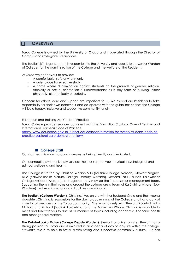# ❑ **OVERVIEW**

Toroa College is owned by the University of Otago and is operated through the Director of Campus and Collegiate Life Services.

The Tautiaki (College Warden) is responsible to the University and reports to the Senior Warden of Colleges for the administration of the College and the welfare of the Residents.

At *Toroa* we endeavour to provide:

- A comfortable, safe environment.
- A quiet place for effective study.
- A home where discrimination against students on the grounds of gender, religion, ethnicity or sexual orientation is unacceptable; as is any form of bullying, either physically, electronically or verbally.

Concern for others, care and support are important to us. We expect our Residents to take responsibility for their own behaviour and co-operate with the guidelines so that the College will be a happy, inclusive and supportive community for all.

#### Education and Training Act Code of Practice

Toroa College provides services consistent with the Education (Pastoral Care of Tertiary and International Learners) Code of Practice.

[https://www.education.govt.nz/further-education/information-for-tertiary-students/code-of](https://www.education.govt.nz/further-education/information-for-tertiary-students/code-of-practice-pastoral-care-domestic-tertiary/)[practice-pastoral-care-domestic-tertiary/](https://www.education.govt.nz/further-education/information-for-tertiary-students/code-of-practice-pastoral-care-domestic-tertiary/) 

# ■ College Staff

Our staff team is known around campus as being friendly and dedicated.

Our connections with University services, help us support your physical, psychological and spiritual wellbeing and health.

The College is staffed by Christina Watson-Mills (Tautiaki/College Warden), Stewart Noguer-Blue (Kaiwhakaako Matua/College Deputy Warden), Richard Latu (Tautiaki Kaiāwhina/ College Assistant Warden) and together they may up the Toroa senior management team. Supporting them in their roles and around the college are a team of Kaiāwhina Whare (Sub-Wardens) and Administrator and a Facilities co-ordinator.

**The Tautiaki (College Warden)**, Christina, lives on site with her husband Craig and their young daughter. Christina is responsible for the day to day running of the College and has a duty of care for all members of the Toroa community. She works closely with Stewart (Kaiwhakaako Matua) and Richard (Tautiaki kaiāwhina) and the Kaiāwhina Whare. Christina is available to meet and talk with you to discuss all manner of topics including academic, financial, health and other general matters.

**The Kaiwhakaako Matua (College Deputy Warden)**, Stewart, also lives on site. Stewart has a strong passion for Toroa and is involved in all aspects of day to day life within the college. Stewart's role is to help to foster a stimulating and supportive community culture. He has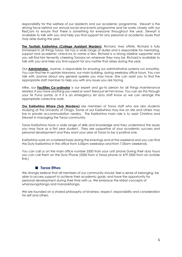responsibility for the welfare of our residents and our academic programme. Stewart is the driving force behind our annual social and events programme and he works closely with our ResCom to ensure that there is something for everyone throughout the year. Stewart is available to talk with you and help you find support for any personal or academic issues that may arise during the year.

**The Tautiaki Kaiāwhina (College Assistant Warden)**, Richard, lives offsite, Richard is fully immersed in all things Toroa. He has a wide range of duties and is responsible for mentoring, support and academic check-ins to name a few. Richard is a strong sideline supporter and you will find him fervently cheering Toroans on wherever they may be. Richard is available to talk with you and help you find support for any matter that arises during the year.

Our **Administrator**, Joanne, is responsible for ensuring our administrative systems run smoothly. You can find her in upstairs Manawa, our main building, during weekday office hours. You can talk with Joanne about any general queries you may have. She can assist you to find the appropriate staff member to help you with any issues you are facing.

Mike, our **Facilities Co-ordinator** is our expert and go-to person for all things maintenance related. If you have anything you need or want fixed just let him know. You can do this through your Te Puna portal, or if it is an emergency let duty staff know so we can arrange the appropriate corrective work.

**Our Kaiāwhina Whare (Sub Wardens)** are members of Toroa staff who are also students studying at the University of Otago. Some of our Kaiāwhina may live on site and others may live in private accommodation nearby. The Kaiāwhina main role is to assist Christina and Stewart in managing the Toroa community.

Toroa Kaiāwhina have a wide range of skills and knowledge and they understand the issues you may face as a first year student. They are supportive of your academic success and personal development and they want your year at Toroa to be a positive one.

Kaiāwhina work on a rostered basis during the evenings and at the weekend and you can find the Duty Kaiāwhina in the office from 5.00pm weekdays and from 7.00am weekends.

You can call us on the main office number 5500 from your unit phone During their duty hours you can call them on the Duty Phone (5500 from a Toroa phone or 479 5500 from an outside line.)

# ■ **Toroa Ethos**

We strongly believe that all members of our community should: feel a sense of belonging; be able to access support to achieve their academic goals; and have the opportunity for personal development during their time with us. We embrace the Māori concepts of whanaungatanga and manaakitanga.

We are founded on a shared philosophy of kindness, respect, responsibility and consideration for self and others.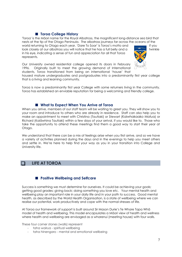# ■ **Toroa College History**

'Toroa' is the Māori name for the Royal Albatross, the magnificent long-distance sea bird that nests at the tip of the Otago Peninsula. The albatross journeys far across the oceans of the

world returning to Otago each year. 'Dare To Soar' is Toroa's motto and if you<br>look closely at our albatross you will notice that he has a full belly and a look closely at our albatross you will notice that he has a full belly and a in his eye, indicating a sense of fun and appreciation for all that Toroa represents.



Our University owned residential college opened its doors in February 1996. Originally built to meet the growing demand of International students, Toroa transitioned from being an international 'house' that

housed mature undergraduates and postgraduates into a predominantly first year college that is a living and learning community.

Toroa is now a predominantly first year College with some returners living in the community. Toroa has established an enviable reputation for being a welcoming and friendly college.

# ■ **What to Expect When You Arrive at Toroa**

When you arrive, members of our staff team will be waiting to greet you. They will show you to your room and introduce to others who are already in residence. Staff can also help you to make an appointment to meet with Christina (Tautiaki) or Stewart (Kaiwhakaako Matua) or Richard (Kaiāwhina Tautiaki) within a few days of your arrival, if you would like to. Those who take the opportunity to attend these meetings find them a good way to start their year at Otago.

We understand that there can be a mix of feelings arise when you first arrive, and so we have a variety of activities planned during the days and in the evenings to help you meet others and settle in. We're here to help find your way as you in your transition into College and University life.

# ❑ **LIFE AT TOROA**

# ■ **Positive Wellbeing and Selfcare**

Success is something we must determine for ourselves. It could be achieving your goals; getting good grades; giving back; doing something you love etc. Your mental health and wellbeing play an important role in your daily life and in your path to success. Good mental health, as described by the World Health Organisation, is a state of wellbeing where we can realise our potential, work productively and cope with the normal stresses of life.

At Toroa our framework of support is built around Sir Mason Durie's Te Whare Tapa Whā model of health and wellbeing. This model encapsulates a Māori view of health and wellness where health and wellbeing are envisaged as a wharenui (meeting house) with four walls.

These four corner stones (walls) represent

- taha wairua spiritual wellbeing
- taha hinengaro mental and emotional wellbeing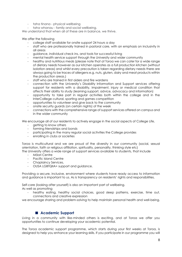- taha tinana physical wellbeing
- taha whanau family and social wellbeing.

We understand that when all of these are in balance, we thrive.

#### We offer the following

- college staff available for onsite support 24 hours a day
- staff who are professionally trained in pastoral care, with an emphasis on inclusivity in all areas
- guidance, individual check ins, and tools for successful living
- mental health service support through the University and wider community
- healthy and nutritious meals (please note that at Toroa we can cater for a wide range of dietary needs however as our kitchen operates as a full production kitchen (without isolation areas) and whilst every precaution is taken regarding dietary needs there are always going to be traces of allergens e.g. nuts, gluten, dairy and meat products within the production areas.)
- staff who are trained in first aiders and fire wardens
- connection with the University's Disability Information and Support services offering support for residents with a disability, impairment, injury or medical condition that affects their ability to study (learning support, advice, advocacy and information)
- opportunity to take part in regular activities both within the college and in the InterColllege cultural, sporting and games competition
- opportunities to volunteer and give back to the community
- onsite security guards (on certain nights) of the week
- connections with the comprehensive range of support services offered on campus and in the wider community

We encourage all of our residents to actively engage in the social aspects of College Life,

- getting to know others
- forming friendships and bonds
- participating in the many regular social activities the College provides
- enrolling in clubs or societies

Toroa is multicultural and we are proud of the diversity in our community (social, sexual orientation, faith or religious affiliation, spirituality, personality, thinking style etc) The University offers a wide range of support services available to students, that include

- Māori Centre
- Pacific Island Centre
- Chaplaincy Services,
- OUSA LGBTQIIA+ support and guidance.

Providing a secure, inclusive, environment where students have ready access to information and guidance is important to us. As is transparency on residents' rights and responsibilities.

Self-care (looking after yourself) is also an important part of wellbeing. As well as promoting

healthy eating, healthy social choices, good sleep patterns, exercise, time out, connections and creative expression

we encourage sharing and problem-solving to help maintain personal health and well-being.

# ■ **Academic Support**

Living in a community with like-minded others is exciting, and at Toroa we offer you opportunities to continue developing your academic potential.

The Toroa academic support programme, which starts during your first weeks at Toroa, is designed to help you enhance your learning skills. If you participate in our programme you will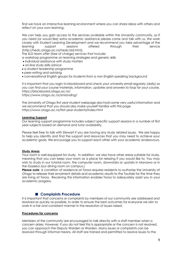find we have an interactive learning environment where you can share ideas with others and reflect on your own learning.

We can help you gain access to the services available within the University community, so if you need (or would like) extra academic assistance please come and talk with us. We work closely with Student Learning Development and we recommend you take advantage of the learning support sessions offered through their service [\(http://hedc.otago.ac.nz/hedc/sld.html\)](http://hedc.otago.ac.nz/hedc/sld.html).

The SLD team offer (free of charge) services that include:

a workshop programme on learning strategies and generic skills

- individual assistance with study matters
- on-line study skills advice
- a student leadership programme
- peer-writing and advising
- conversational English groups for students from a non-English speaking background

It is important that you login to blackboard and check your university email regularly (daily) so you can find your course materials, information, updates and answers to faqs for your course. <https://blackboard.otago.ac.nz/> *<https://www.otago.ac.nz/smlanding/>*

The University of Otago first year student webpage also hosts some very useful information and we recommend that you should also make yourself familiar with this page <https://www.otago.ac.nz/first-year-students/index.html>

#### **Learning Support**

Our learning support programme includes subject specific support sessions in a number of first year subjects based on demand and tutor availability.

Please feel free to talk with Stewart if you are having any study related issues. We are happy to help you identify and find the support and resources that you may need to achieve your academic goals. We encourage you to support each other with your academic endeavours.

#### **Study Areas**

Your room is well equipped for study. In addition, we also have other areas suitable for study, meaning that you can keep your room as a place for relaxing if you would like to. You may wish to study in our tutorial room, the computer room, downstairs or upstairs in Manawa or in the Gazebo (our dining room on campus.)

*Please note:* A condition of residence at Toroa requires residents to authorise the University of Otago to release their enrolment details and academic results to the Tautiaki for the time they are living at Toroa. Receiving this information enables Toroa to adequately assist you in your academic progress.

# ■ **Complaints Procedure**

It is important that concerns or complaints by members of our community are addressed and resolved as quickly as possible. In order to ensure the best outcomes for everyone we aim to work in a fair and consistent manner in the resolution of issues raised.

#### **Procedures for concerns**

Members of the community are encouraged to talk directly with a staff member when a concern arises. However, if you do not feel this is appropriate or the concern is not resolved, you can approach the Deputy Warden or Warden. Many issues or complaints can be resolved through informal means. All staff are trained and permitted to resolve issues to the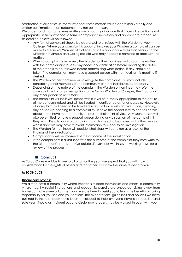satisfaction of all parties. In many instances these matters will be addressed verbally and written confirmation of an outcome may not be necessary.

We understand that sometimes matters are of such significance that informal resolution is not appropriate. In such instances a formal complaint is necessary and appropriate procedure as detailed below will be followed.

- Any formal complaint should be addressed to or raised with the Warden of your College. Where your complaint is about or involves your Warden a complaint can be made to the Senior Warden of Colleges or, if it is about or involves that person, to the Director of Campus and Collegiate Life who may appoint a nominee to deal with the matter.
- When a complaint is received, the Warden or their nominee, will discuss the matter with the complainant to seek any necessary clarification before deciding the detail of the process to be followed before determining what action, if any, should be taken. The complainant may have a support person with them during this meeting if desired.
- The Warden or their nominee will investigate the complaint. This may include contacting other members of the community or other individuals as necessary.
- Depending on the nature of the complaint the Warden or nominee may refer the complaint and or any investigation to the Senior Warden of Colleges, the Proctor or any other person as necessary.
- The complaint will be investigated with a level of formality appropriate to the nature of the concerns raised and will be treated in confidence as far as possible. However, all complaints will need to be handled in accordance with natural justice, meaning any persons responding to a complaint must have the opportunity to hear all details about it and have the opportunity to present their point of view. Any such person will also be entitled to have a support person during any discussion of the complaint if they wish. Details about a complaint may also need to be shared with other people who it appears may have relevant information to supply to an investigation.
- The Warden (or nominee) will decide what steps will be taken as a result of the findings of the investigation.
- Complainants will be informed of the outcome of the investigation.
- If the complainant is dissatisfied with the outcome of the complaint they may write to the Director of Campus and Collegiate Life Services within seven working days, for a review of the process.

# ■ **Conduct**

As Toroa College will be home to all of us for the year, we expect that you will show consideration for the rights of others and that others will show the same respect to you.

# **MISCONDUCT**

#### **Disciplinary process**

We aim to have a community where Residents respect themselves and others, a community where healthy social interactions and academic pursuits are expected. Living away from home can take some adjustment and we are here to assist you to learn the benefits of taking responsibility for yourself and your actions. The expectations, guidelines and policies we have outlined in this handbook have been developed to help everyone have a productive and safe year. Should an incident occur a disciplinary process may be worked through with you.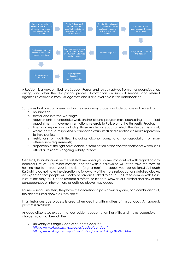

A Resident is always entitled to a Support Person and to seek advice from other agencies prior, during, and after the disciplinary process. Information on support services and referral agencies is available from College staff and is also available in this Handbook on

Sanctions that are considered within the disciplinary process include but are not limited to:

- a. no sanction.
- b. formal and informal warnings;
- c. requirements to undertake work and/or attend programmes, counselling, or medical appointments; movement restrictions; referrals to Police or to the University Proctor.
- d. fines, and reparation (including those made on groups of which the Resident is a part, where individual responsibility cannot be attributed) and directions to make reparation to third parties;
- e. restrictions on activities, including alcohol bans, and non-association or nonattendance requirements;
- f. suspension of the right of residence, or termination of the contract neither of which shall affect a Resident's ongoing liability for fees

Generally Kaiāwhina will be the first staff members you come into contact with regarding any behaviour issues. For minor matters, contact with a Kaiāwhina will often take the form of helping you to correct your behaviour, (e.g. a reminder about your obligations.) Although Kaiāwhina do not have the discretion to follow any of the more serious actions detailed above, it is expected that people will modify behaviour if asked to do so. Failure to comply with these instructions may result in the resident a referral to Richard, Stewart or Christina and any of the consequences or interventions as outlined above may occur.

For more serious matters, they have the discretion to pass down any one, or a combination of, the actions listed above as they see fit.

In all instances due process is used when dealing with matters of misconduct. An appeals process is available.

As good citizens we expect that our residents become familiar with, and make responsible choices, so as not breach the

• University of Otago Code of Student Conduct *<http://www.otago.ac.nz/proctor/codeofconduct/> <http://www.otago.ac.nz/administration/policies/otago029948.html>*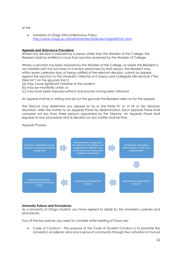or the

• University of Otago Ethical Behaviour Policy <http://www.otago.ac.nz/administration/policies/otago003161.html>

# **Appeals and Grievance Procedure**

Where any decision is imposed by a person other than the Warden of the College, the Resident shall be entitled to have that sanction reviewed by the Warden of College.

Where a sanction has been imposed by the Warden of the College, or where the Resident is not satisfied with the outcome of a review performed by that person, the Resident may, within seven calendar days of being notified of the relevant decision, submit an appeal against the sanction to the University's Director of Campus and Collegiate Life Services ("the Director") on the grounds that it

(a) may cause significant hardship to the student;

- (b) may be manifestly unfair; or
- (c) may have been imposed without due process having been followed.

An appeal shall be in writing and set out the grounds the Resident relies on for the appeal.

The Director may determine any appeal as he or she thinks fit, or, in his or her absolute discretion, refer the matter to an Appeals Panel for determination. Each Appeals Panel shall comprise not less than three persons appointed by the Director. An Appeals Panel shall regulate its own procedure and its decision on any matter shall be final.

#### Appeals Process



#### **University Polices and Procedures**

As a University of Otago student, you have agreed to abide by the University's policies and procedures.

Four of the key policies you need to consider whilst residing at Toroa are:

• Code of Conduct – The purpose of the Code of Student Conduct is to promote the University's academic aims and a sense of community through the cultivation of mutual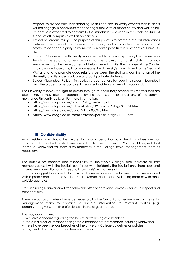respect, tolerance and understanding. To this end, the University expects that students will not engage in behaviours that endanger their own or others' safety and well-being. Students are expected to conform to the standards contained in this Code of Student Conduct off-campus as well as on-campus.

- Ethical behaviour Policy The purpose of this policy is to promote ethical interactions between members of the University community and to provide an environment of safety, respect and dignity so members can participate fully in all aspects of University life.
- Student Charter The University is committed to scholarship through excellence in teaching, research and service and to the provision of a stimulating campus environment for the development of lifelong learning skills. The purpose of the Charter is to advance those aims, to acknowledge the University's commitment to the Treaty of Waitangi and to promote good relations between the staff and administration of the University and its undergraduate and postgraduate students.
- Sexual Misconduct Policy This policy sets out options for reporting sexual misconduct and the process for responding to reported incidents of sexual misconduct.

The University reserves the right to pursue through its disciplinary procedures matters that are also being, or may also be, addressed by the legal system or under any of the abovementioned University policies. For more information:

- <https://www.otago.ac.nz/proctor/otago670687.pdf>
- <https://www.otago.ac.nz/administration/%20policies/otago003161.html>
- <https://www.otago.ac.nz/about/otago005275.html>
- [https://www.otago.ac.nz//administration/policies/otago711781.html](https://www.otago.ac.nz/administration/policies/otago711781.html)

# ■ **Confidentiality**

As a resident you should be aware that study, behaviour, and health matters are not confidential to individual staff members, but to the staff team. You should expect that individual Kaiāwhina will share such matters with the College senior management team as necessary.

The Tautiaki has concern and responsibility for the whole College, and therefore all staff members consult with the Tautiaki over issues with Residents. The Tautiaki only shares personal or sensitive information on a "need to know basis" with other staff.

Staff may suggest to Residents that it would be more appropriate if some matters were shared with a professional from the Student Health Mental Health and Wellbeing team or with other outside agencies.

Staff, including Kaiāwhina will treat all Residents' concerns and private details with respect and confidentiality.

There are occasions when it may be necessary for the Tautiaki or other members of the senior management team to contact or disclose information to relevant parties (e.g. parents/caregivers, health professionals, financial guarantors).

This may occur when:

- we have concerns regarding the health or wellbeing of a Resident
- there is a clear or imminent danger to a Resident or staff member; including Kaiāwhina
- there have been serious breaches of the University College guidelines or policies
- payment of accommodation fees is in arrears.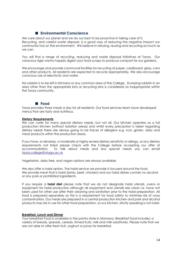# ■ **Environmental Conscience**

We care about our planet and we do our best to be proactive in taking care of it. Recycling, and careful waste disposal, is a good way of reducing the negative impact our community has on the environment. We believe in refusing, reusing and recycling as much as we can.

You will find a range of recycling, reducing and waste disposal initiatives at Toroa. Our voracious tiger worms happily digest your food scraps to produce compost for our gardens.

We encourage and provide communal facilities for recycling of paper, cardboard, glass, cans and other products. All residents are expected to recycle appropriately. We also encourage conscious use of electricity and water.

No rubbish is to be left in kitchens or any common area of the College. Dumping rubbish in an area other than the appropriate bins or recycling bins is considered as inappropriate within the Toroa community.

### ■ **Food**

Toroa provides three meals a day for all residents. Our food services team have developed menus that are tasty and nutritious.

#### **Dietary Requirements**

We can cater for many special dietary needs, but not all. Our kitchen operates as a full production kitchen (without isolation areas) and whilst every precaution is taken regarding dietary needs there are always going to be traces of allergens e.g. nuts, gluten, dairy and meat products within the production areas.

If you have, or develop, a moderate or highly severe dietary sensitivity or allergy, or any dietary requirements not listed please check with the College before accepting our offer of accommodation. To talk about meals and any special needs you can email [toroa.college@otago.ac.nz](mailto:toroa.college@otago.ac.nz)

Vegetarian, dairy free, and vegan options are always available.

We also offer a halal option. The halal service we provide is focused around the food. We provide meat that is halal (lamb, beef, chicken) and our halal dishes contain no alcohol or any pork or prohibited ingredients.

If you require a **halal diet** please note that we do not designate halal utensils, ovens or equipment for halal production although all equipment and utensils are clean i.e. have not been used for other use after their cleaning and sanitation prior to the halal preparation. All food is prepared separately as this is a requirement for food safety to minimise risk of cross contamination. Our meals are prepared in a central production kitchen and pork and alcohol products may be in use for other food preparation, so our kitchen, strictly speaking is not halal.

#### **Breakfast, Lunch and Dinner**

Your breakfast food is available in the pantry store in Manawa. Breakfast food includes: a variety of breads, spreads, cereals, tinned fruits, milk and milk substitutes. Please note that we are not able to offer fresh fruit, yoghurt or juices for breakfast.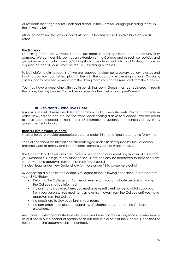All residents dine together for lunch and dinner, in the Gazebo Lounge (our dining room) in the University Union.

Although each unit has an equipped kitchen, self-catering is not an available option at Toroa.

#### **The Gazebo**

Our dining room – the Gazebo, is a fabulous room situated right in the heart of the University campus. We consider this room as an extension of the College and as such our policies and guidelines extend to this area. Clothing should be clean and tidy, and footwear is always required. Student ID cards may be required for dining purposes.

To be helpful to dining room staff we are required to clear our crockery, cutlery, glasses and food scraps from our tables, placing them in the appropriate clearing stations. Crockery, cutlery, or any other equipment from the dining room may not be removed from the Gazebo.

You may have a guest dine with you in our dining room. Guests must be registered, through the office, the day before. You will be invoiced for the cost of your guest's meal.

# ■ **Residents - Who Lives Here**

Toroa is a vibrant, diverse and talented community of first year students. Residents come from within New Zealand and around the world, each sharing a drive to succeed. We are proud to have been selected to host under 18 international students and scholars on overseas government scholarships.

#### **Under18 International students**

In order for us to provide appropriate care for under 18 International students we follow the

Special conditions for international students aged under 18 as required by the Education (Pastoral Care of Tertiary and International Learners) Code of Practice 2021.

The Code of Practice requires the University of Otago to document any transfer of care from your Residential College to any other person. Care can only be transferred to someone from whom we have approval from your parents/legal guardian.

It is also illegal under New Zealand law for those under 18 to consume alcohol.

By accepting a place in the College, you agree to the following conditions until the date of your 18<sup>th</sup> birthday:

- Return to the College by 11pm each evening. If you anticipate being slightly late, the College shall be informed.
- If planning to stay elsewhere, you must give us sufficient notice to obtain approval from your parents. You must not stay overnight away from the College until you have approval from the College.
- No guests are to stay overnight in your room.
- No consumption of alcohol, regardless of whether consumed at the College or elsewhere.

Any under 18 international student who breaches these conditions may face a consequence as outlined in our Misconduct section or as outlined in clause 7 of the General Conditions of Residence of the accommodation contract.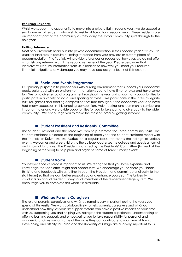#### **Returning Residents**

Whilst we support the opportunity to move into a private flat in second year, we do accept a small number of residents who wish to reside at Toroa for a second year. These residents are an important part of the community as they carry the Toroa community spirit through to the next year.

#### **Flatting Reference**

Most of our residents head out into private accommodation in their second year of study. It is usual for landlords to require a flatting reference from your previous or current place of accommodation. The Tautiaki will provide references as requested, however, we do not offer or furnish any reference until the second semester of the year. Please be aware that landlords will require information from us in relation to how well you meet your required financial obligations; any damage you may have caused; your levels of tidiness etc.

# ■ **Social and Events Programme**

Our primary purpose is to provide you with a living environment that supports your academic goals, balanced with an environment that allows you to have time to relax and have some fun. We run a diverse social programme throughout the year giving you many opportunities to participate in a variety of social and sporting activities. We participate in the Inter-Collegiate cultural, games and sporting competition that runs throughout the academic year and have had many successes in this ongoing competition. Volunteering and community service are important to us and we provide opportunities for you to take part and give back to the wider community. We encourage you to make the most of Toroa by getting involved.

# ■ **Student President and Residents' Committee**

The Student President and the Toroa ResCom help promote the Toroa community spirit. The Student President is elected at the beginning of each year. the Student President meets with the Tautiaki or Kaiwhakaako Matua on a regular basis, represents the college at various events, welcomes and greets visitors to the college, addresses the college and guests at formal and informal functions. The President is assisted by the Residents' Committee (formed at the beginning of the year) to help plan and organise some of Toroa's many events.

# ■ **Student Voice**

Your experience at Toroa is important to us. We recognise that you have expertise and knowledge that can offer insight and opportunity. We encourage you to share your ideas, thinking and feedback with us (either through the President and committee or directly to the staff team) so that we can better support you and enhance your year. The University conducts an annual resident survey for all members of the residential college system. We encourage you to complete this when it is available.

# ■ **Whānau Parents Caregivers**

The role of parents, caregivers and whānau remains very important during the years you spend at University. We work collaboratively to help parents, caregivers and whānau understand how they, as your first support system can have a positive impact on your time with us. Supporting you and helping you navigate the student experience, understanding or offering learning support, and empowering you to take responsibility for personal and academic choices are just some of the ways they can contribute to your time at Toroa. Developing and affinity for Toroa and the University of Otago are also very important to us.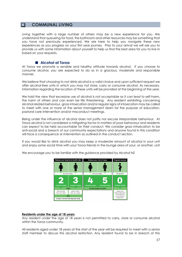# ❑ **COMMUNAL LIVING**

Living together with a large number of others may be a new experience for you. We understand that queueing for food, the bathroom and other resources may be something that you have not previously experienced. We are here to help you navigate these new experiences as you progress on your first year journey. Prior to your arrival we will ask you to provide us with some information about yourself to help us find the best area for you to live in based on your requests.

# ■ **Alcohol at Toroa**

At Toroa we promote a sensible and healthy attitude towards alcohol. If you choose to consume alcohol, you are expected to do so in a gracious, moderate and responsible manner.

We believe that choosing to not drink alcohol is a valid choice and upon sufficient request we offer alcohol-free units in which you may not store, carry or consume alcohol. As necessary, information regarding the location of these units will be provided at the beginning of the year.

We hold the view that excessive use of alcohol is not acceptable as it can lead to self-harm, the harm of others and can even be life threatening. Any resident exhibiting concerning alcohol related behaviour, gross intoxication and/or regular signs of intoxication may be called to meet with one or more of the senior management team for the purpose of education, pastoral care intervention and/or misconduct meetings.

Being under the influence of alcohol does not justify nor excuse irresponsible behaviour. At Toroa alcohol is not considered a mitigating factor in matters of poor behaviour and residents can expect to be held accountable for their conduct. We consider gross intoxication to be anti-social and a breach of our community expectations and anyone found in this condition will face a consequence or intervention as outlined in the conduct section.

If you would like to drink alcohol you may keep a moderate amount of alcohol in your unit and enjoy some social time with your Toroa friends in the lounge area of your, or another, unit



We encourage you to be familiar with the guidance provided by Alcohol NZ

#### **Residents under the age of 18 years**

Any resident under the age of 18 years is not permitted to carry, store or consume alcohol within the Toroa community.

All residents aged under 18 years at the start of the year will be required to meet with a senior staff member to discuss this alcohol restriction. Any resident found to be in breach of this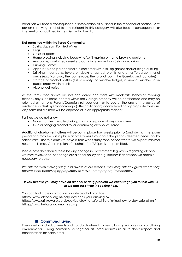condition will face a consequence or intervention as outlined in the misconduct section. Any person supplying alcohol to any resident in this category will also face a consequence or intervention as outlined in the misconduct section.

#### **Not permitted within the Toroa Community:**

- Spirits, Liqueurs, Fortified Wines
	- Kegs
	- Casks or goons
	- Home brewing including beer/wine/spirit making or home brewing equipment
	- Any bottle, container, vessel etc containing more than 8 standard drinks
	- Drinking Games
	- Apparatus and paraphernalia associated with drinking games and/or binge drinking
	- Drinking in car parks, foyers, on decks attached to units, and other Toroa communal areas (e.g. Manawa, the roof terrace, the tutorial room, the Gazebo and laundries)
- Storage of alcohol bottles (full or empty) on window ledges, in view of windows or in public areas within a unit
- Alcohol deliveries

As the items listed above are not considered consistent with moderate behavior involving alcohol, any such items located within the College property will be confiscated and may be returned either to a Parent/Guardian (at your cost) or to you at the end of the period of residence, or destroyed accordingly (after notification) if considered not appropriate to return. Any items not claimed will be disposed of in an appropriate manner.

Further, we do not allow

- More than ten people drinking in any one place at any given time
- Guests bringing alcohol to, or consuming alcohol at, Toroa

**Additional alcohol restrictions** will be put in place four weeks prior to (and during) the exam period and may be put in place at other times throughout the year as deemed necessary by senior staff. Prior to exams we have a four-week study zone period where we expect minimal noise at all times. Consumption of alcohol after 7.30pm is not permitted.

Please note that should there be any change in Government legislation regarding alcohol we may review and/or change our alcohol policy and guidelines if and when we deem it necessary to do so.

*We ask that you make your guests aware of our policies. Staff may ask any guest whom they believe is not behaving appropriately to leave Toroa property immediately.* 

#### *If you believe you may have an alcohol or drug problem we encourage you to talk with us so we can assist you in seeking help.*

You can find more information on safe alcohol practices <https://www.alcohol.org.nz/help-advice/is-your-drinking-ok> <https://www.drinkaware.co.uk/advice/staying-safe-while-drinking/how-to-stay-safe-at-uni/> [https://www.hellosundaymorning.org](https://www.hellosundaymorning.org/)

# ■ **Communal Living**

Everyone has individual needs and standards when it comes to having suitable study and living environments. Living harmoniously together at Toroa requires us all to show respect and consideration for each other.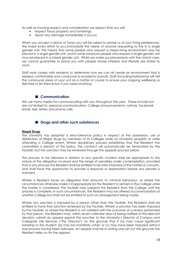As well as showing respect and consideration we expect that you will:

- respect Toroa property and furnishings
- report any damage immediately it occurs

When you accept a place at Toroa you will be asked to advise us of your living preferences. We make every effort to accommodate the needs of anyone requesting to live in a single gender unit. This means that some people who request a mixed living environment may be placed in a single gender unit, and in some instances people who request a single gender unit may be placed in a mixed gender unit. Whilst we make our placements with the utmost care, we cannot guarantee to place you with people whose interests and lifestyle are similar to yours.

Staff work closely with residents to determine how we can all create an environment that is relaxed, comfortable and conducive to academic pursuits. Staff (including Kaiāwhina) will visit the communal areas of your unit as a matter of course to ensure your ongoing wellbeing so feel free to let them know if you need anything.

# ■ **Communication**

We use many media for communicating with you throughout the year. These include but are not limited to: personal communication, College announcements, notices, facebook, email, text, letters and phone calls.

# ■ **Drugs and other such substances**

#### **Illegal Drugs**

The University has adopted a zero-tolerance policy in respect of the possession, use or distribution of illegal drugs by members of its Colleges while on University property or while attending a College event. Where disciplinary process establishes that the Resident has committed a breach of this policy, the contract will automatically be terminated by the Tautiaki, but this sanction may be reviewed through the appeals process below.

The process to be followed in relation to any specific incident shall be appropriate to the nature of the allegation involved and the range of penalties under contemplation, provided that in any process the Resident shall be entitled to be fairly informed of the matter of concern, and shall have the opportunity to provide a response or explanation before any penalty is imposed.

Where a Resident faces an allegation that amounts to criminal behaviour, or where the circumstances otherwise make it inappropriate for the Resident to remain in the College while the matter is considered, the Tautiaki may suspend the Resident from the College until the process is complete. In such circumstances, the Resident may be offered accommodation at another College but shall not be entitled to such an arrangement being made.

Where any sanction is imposed by a person other than the Tautiaki, the Resident shall be entitled to have that sanction reviewed by the Tautiaki, Where a sanction has been imposed by the Tautiaki, or where the Resident is not satisfied with the outcome of a review performed by that person, the Resident may, within seven calendar days of being notified of the relevant decision, submit an appeal against the sanction to the University's Director of Campus and Collegiate Life Services ("the Director") on the grounds that it (a) may cause significant hardship to the student; (b) may be manifestly unfair; or (c) may have been imposed without due process having been followed. An appeal shall be in writing and set out the grounds the Resident relies on for the appeal.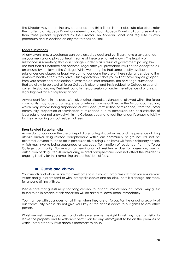The Director may determine any appeal as they think fit, or, in their absolute discretion, refer the matter to an Appeals Panel for determination. Each Appeals Panel shall comprise not less than three persons appointed by the Director. An Appeals Panel shall regulate its own procedure and its decision on any matter shall be final.

#### **Legal Substances**

At any given time, a substance can be classed as legal and yet it can have a serious effect on your mental and physical health, some of these are not yet known. The legality of substances is something that can change suddenly as a result of government passing laws. The fact that a substance has become illegal after you purchased it will not be accepted as an excuse by the law or the College. While we recognise that some readily available substances are classed as legal, we cannot condone the use of these substances due to the unknown health effects they have. Our expectation is that you will not have any drugs apart from your prescribed medication or over the counter products. The only 'legal substance' that we allow to be used at Toroa College is alcohol and this is subject to College rules and current legislation. Any Resident found in the possession of, under the influence of or using a legal high will face disciplinary action.

Any resident found in the possession of, or using a legal substance not allowed within the Toroa community may face a consequence or intervention as outlined in the Misconduct section, which may involve being suspended or excluded (termination of residence) from the Toroa community. Suspension or termination of residence due to possession, use or distribution of legal substances not allowed within the College, does not affect the resident's ongoing liability for their remaining annual residential fees.

# **Drug Related Paraphernalia**

As we do not condone the use of illegal drugs, or legal substances, and the presence of drug utensils and/or drug related paraphernalia within our community or grounds will not be tolerated. Anyone found to be in possession of, or using such items will face disciplinary action, which may involve being suspended or excluded (termination of residence) from the Toroa College community. Suspension or termination of residence due to possession, use or distribution of drug utensils and/or drug related paraphernalia does not affect the Resident's ongoing liability for their remaining annual Residential fees.

# ■ Guests and Visitors

Your friends and whānau are most welcome to visit you at Toroa. We ask that you ensure your visitors and guests are familiar with Toroa philosophies and policies. There is a charge, per meal, for anyone dining with us.

Please note that guests may not bring alcohol to, or consume alcohol at, Toroa. Any guest found to be in breach of this condition will be asked to leave Toroa immediately.

You must be with your guest at all times when they are at Toroa. For the ongoing security of our community please do not give your key or the access codes to our gates to any other person.

Whilst we welcome your guests and visitors we reserve the right to ask any guest or visitor to leave the property and to withdraw permission for any visitor/guest to be on the premises or within Toroa property if we deem it necessary to do so.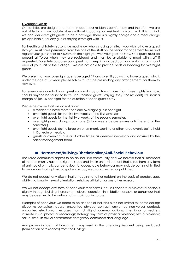#### **Overnight Guests**

Our facilities are designed to accommodate our residents comfortably and therefore we are not able to accommodate others without impacting on resident comfort. With this in mind, we consider overnight guests to be a privilege. There is a nightly charge and a meal charge (as applicable) for any guests staying overnight with us.

For Health and Safety reasons we must know who is staying on site. If you wish to have a guest stay you must have permission from the one of the staff on the senior management team and register your guest prior to 5.00pm on the night you wish your guest to stay. Your guest must be present at Toroa when they are registered and must be available to meet with staff if requested. For safety purposes your guest must sleep in your bedroom and not in a communal area of your unit or the College. We are not able to provide beds or bedding for overnight guests.

We prefer that your overnight guests be gaed 17 and over. If you wish to have a guest who is under the age of 17 years please talk with staff before making any arrangements for them to stay over.

For everyone's comfort your guest may not stay at Toroa more than three nights in a row. Should anyone be found to have unauthorised guests staying, they (the resident) will incur a charge of \$86.25 per night for the duration of each guest's stay.

Please be aware that we do not allow

- a resident to have more than one overnight guest per night
- overnight guests for the first two weeks of the first semester.
- overnight guests for the first two weeks of the second semester.
- overnight guests during study zone (3 to 4 weeks before exams until the end of the semester.)
- overnight guests during large entertainment, sporting or other large events being held in Dunedin or nearby.
- guests or overnight guests at other times, as deemed necessary and advised by the senior management team.

# ■ **Harassment/Bullying/Discrimination/Anti-Social Behaviour**

The Toroa community aspires to be an inclusive community and we believe that all members of the community have the right to study and live in an environment that is free from any form of anti-social or malicious behaviour. Unacceptable behaviour may include but is not limited to behaviour that is physical, spoken, virtual, electronic, written or published.

We do not accept any discrimination against another resident on the basis of gender, age, ability, nationality, sexual orientation, religious affiliation or any other reason.

We will not accept any form of behaviour that harms, causes concern or violates a person's dignity through bullying; harassment; abuse; coercion; intimidation; assault; or behaviour that may be deemed to be anti-social or malicious in nature.

Examples of behaviour we deem to be anti-social includes but is not limited to: name calling; disruptive behaviour; abuse; unwanted physical contact; unwanted non-verbal contact; unwanted electronic messages; harmful digital communications; intentional or reckless intimate visual photos or recordings; stalking; any form of physical violence; sexual violence; sexual assault; sexual harassment; derogatory comments and language

Any proven incident of harassment may result in the offending Resident being excluded (termination of residency) from the College.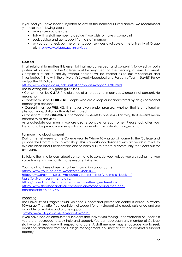If you feel you have been subjected to any of the behaviour listed above, we recommend you take the following steps:

- make sure you are safe
- talk with a staff member to decide if you wish to make a complaint
- seek advice and get support from a staff member
- or you can check out the other support services available at the University of Otago at:<http://www.otago.ac.nz/services>

#### *Consent*

In all relationship matters it is essential that mutual respect and consent is followed by both parties. All Residents of the College must be very clear on the meaning of sexual consent. Complaints of sexual activity without consent will be treated as serious misconduct and investigated in line with the University's Sexual Misconduct and Response Team (SMART) Policy and/or the NZ Police.

<https://www.otago.ac.nz/administration/policies/otago711781.html>

The following are very good guidelines.

• Consent must be **CLEAR.** The absence of a no does not mean yes. Silence is not consent. No means no.

• Consent must be **COHERENT**. People who are asleep or incapacitated by drugs or alcohol cannot give consent.

• Consent must be **WILLING**. It is never given under pressure, whether that is emotional or physical manipulation or threats being used.

• Consent must be **ONGOING**. If someone consents to one sexual activity, that doesn't mean consent to all activities.

As a collegiate community you are also responsible for each other. Please look after your friends and be pro-active in supporting anyone who is in potential danger or harm.

#### For more info about consent

During the first weeks of the College year Te Whare Tāwharau will come to the College and provide the CommUNIty102 workshop. This is a workshop designed with first years' in mind, to explore ideas about relationships and to learn skills to create a community that looks out for everyone.

By taking the time to learn about consent and to consider your values, you are saying that you value having a community that everyone thrives in.

You may find these of use for further information about consent:

<https://www.youtube.com/watch?v=oQbei5JGiT8>

<http://www.areyouok.org.nz/resources/free-resources/you-me-us-booklet/> [Male Survivors \(toah-nnest.org.nz\)](https://toah-nnest.org.nz/what-is-sexual-violence/male-survivors) <https://thewalrus.ca/what-consent-means-in-the-age-of-metoo/>

[https://www.theglobeandmail.com/opinion/metoo-young-men-and-](https://www.theglobeandmail.com/opinion/metoo-young-men-and-consent/article37341952/)

[consent/article37341952/](https://www.theglobeandmail.com/opinion/metoo-young-men-and-consent/article37341952/)

# **Reporting**

The University of Otago's sexual violence support and prevention centre is called Te Whare Tāwharau. They offer free, confidential support for any student who needs assistance and are available for walk-ins and phone support.

<https://www.otago.ac.nz/te-whare-tawharau>

If you have had an encounter or incident that leaves you feeling uncomfortable or uncertain you are encouraged to seek help and support. You can approach any member of College staff who will treat you with respect and care. A staff member may encourage you to seek additional assistance from the College management. You may also wish to contact a support agency.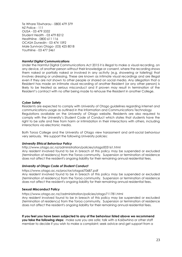Te Whare Tāwharau - 0800 479 379 NZ Police - 111 OUSA - 03 479 5332 Student Health - 03 479 8212 Healthline - 0800 611 116 OCASA Dunedin - 03 474 1592 Male Survivors Otago- [\(03\) 425 8018](tel:03%20425%208018) Youthline - 03 477 2461

#### *Harmful Digital Communications*

Under the Harmful Digital Communications Act 2015 it is illegal to make a visual recording, on any device, of another person without their knowledge or consent, where the recording shows them naked or partially naked or involved in any activity (e.g. showering or toileting) that involves dressing or undressing. These are known as intimate visual recordings and are illegal even if they are not shown to other people or shared on social media. Any allegation that a Resident has made an intimate visual recording of another Resident (or any other person) is likely to be treated as serious misconduct and if proven may result in termination of the Resident's contract with no offer being made to rehouse the Resident in another College.

### *Cyber Safety*

Residents are expected to comply with University of Otago guidelines regarding internet and communications usage as outlined in the Information and Communications Technology Regulations available on the University of Otago website. Residents are also required to comply with the University's Student Code of Conduct which states that students have the right to be safe and free from harm or intimidation in their interactions with others, including interactions via electronic media.

Both Toroa College and the University of Otago view harassment and anti-social behaviour very seriously. We support the following University policies:

#### *University Ethical Behaviour Policy*

<http://www.otago.ac.nz/administration/policies/otago003161.html>

Any resident involved found to be in breach of this policy may be suspended or excluded (termination of residency) from the Toroa community. Suspension or termination of residence does not affect the resident's ongoing liability for their remaining annual residential fees.

#### *University of Otago Code of Student Conduct*

https://www.otago.ac.nz/proctor/otago670687.pdf

Any resident involved found to be in breach of this policy may be suspended or excluded (termination of residency) from the Toroa community. Suspension or termination of residence does not affect the resident's ongoing liability for their remaining annual residential fees.

#### **Sexual Misconduct Policy**

[https://www.otago.ac.nz//administration/policies/otago711781.html](https://www.otago.ac.nz/administration/policies/otago711781.html)

Any resident involved found to be in breach of this policy may be suspended or excluded (termination of residency) from the Toroa community. Suspension or termination of residence does not affect the resident's ongoing liability for their remaining annual residential fees.

**If you feel you have been subjected to any of the behaviour listed above we recommend you take the following steps:** make sure you are safe; talk with a Kaiāwhina or other staff member to decide if you wish to make a complaint; seek advice and get support from a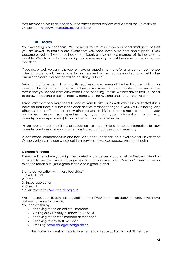staff member or you can check out the other support services available at the University of Otago at: <http://www.otago.ac.nz/services/>

# ■ **Health**

Your wellbeing is our concern. We do need you to let us know you need assistance, or that you are unwell, so that we are aware that you need some extra care and support. If you become unwell or if you have had an accident, please notify a member of staff as soon as possible. We also ask that you notify us if someone in your unit becomes unwell or has an accident.

If you are unwell we can help you to make an appointment and/or arrange transport to see a health professional. Please note that in the event an ambulance is called, any cost for the ambulance callout or service will be on charged to you.

Being part of a residential community requires an awareness of the health issues which can arise from living in close quarters with others. To minimise the spread of infectious diseases, we advise that you do not share drink bottles, and/or eating utensils. We also advise that you need to be aware of, and practice, healthy hand washing hygiene and cough/sneeze etiquette.

Toroa staff members may need to discuss your health issues with other University staff if it is believed that there is or has been clear and/or imminent danger to you, your wellbeing, any other resident, staff member or any other person. In this instance we may also contact your nominated person (as specified by you on your information forms e.g. parent/guardian/guarantor) to notify them of your circumstances.

As per our general conditions of residence we may disclose personal information to your parent/guardian/guarantor or other nominated contact person as necessary.

A dedicated, comprehensive and holistic Student Health service is available for University of Otago students. You can check out their services at www.otago.ac.nz/studenthealth

# **Concern for others**

There are times where you might be worried or concerned about a fellow Resident, friend or community member. We encourage you to start a conversation. You don't need to be an expert to reach out - just a good friend and a great listener.

Start a conversation with these four steps\*:

1. Ask R U OK?

2. Listen

3. Encourage action

4. Check in

\*Taken from<https://www.ruok.org.au/>

We encourage you to contact any staff member if you are worried about anyone. or you have not seen anyone for a while.

You can do this by:

- Speaking to the on-call staff member
- Calling our 24/7 duty number: 03 4795500
- Speaking to the staff member at reception
- Speaking to any staff member
- Emailing: [toroa.college@otago.ac.nz](mailto:toroa.college@otago.ac.nz)

(If the matter is urgent or there is an emergency please call or find a staff member)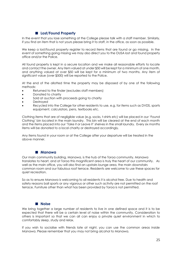# ■ **Lost/Found Property**

In the event that you lose something at the College please talk with a staff member. Similarly, if you find an item that is not yours please bring it to staff, in the office, as soon as possible.

We keep a lost/found property register to record items that are found or go missing. In the event of something going missing we may also direct you to the OUSA lost and found property office and/or the Police.

All found property is kept in a secure location and we make all reasonable efforts to locate and contact the owner. Any item valued at under \$50 will be kept for a minimum of one month, and anything valued at over \$50 will be kept for a minimum of two months. Any item of significant value (over \$500) will be reported to the Police.

At the end of the allotted time the property may be disposed of by one of the following methods:

- Returned to the finder (excludes staff members)
- Donated to charity
- Sold at auction with proceeds going to charity
- **Destroved**
- Recycled into the College for other residents to use, e.g. for items such as DVDS, sports equipment, calculators, pens, textbooks etc.

Clothing items that are of negligible value (e.g. socks, t-shirts etc) will be placed in our 'Found Clothing' bin located in the main laundry. This bin will be cleared at the end of each month and the items placed into our 'Take it or Leave it' shelves in the small laundry. Every six months items will be donated to a local charity or destroyed accordingly.

Any items found in your room or at the College after your departure will be treated in the above manner.

# ■ **Manawa**

Our main community building, Manawa, is the hub of the Toroa community. Manawa translates to heart, and at Toroa this magnificent area is truly the heart of our community. As well as the main office, you will also find an upstairs lounge area, the main downstairs common room and our fabulous roof terrace. Residents are welcome to use these spaces for quiet recreation.

So as to ensure Manawa is welcoming to all residents it is alcohol free. Due to health and safety reasons ball sports or any vigorous or other such activity are not permitted on the roof terrace. Furniture other than what has been provided by Toroa is not permitted.

# ■ **Noise**

We bring together a large number of residents to live in one defined space and it is to be expected that there will be a certain level of noise within the community. Consideration to others is important so that we can all can enjoy a private quiet environment in which to comfortably sleep, study and relax.

If you wish to socialise with friends late at night, you can use the common areas inside Manawa. Please remember that you may not bring alcohol to Manawa.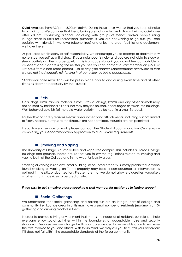**Quiet times** are from 9.30pm – 8.00am daily\*. During these hours we ask that you keep all noise to a minimum. We consider that the following are not conducive to Toroa being a quiet zone after 9.30pm: consuming alcohol, socialising with groups of friends, and/or people using lounge areas in units for recreational purposes. If you are not wishing to go out, you can socialise with friends in Manawa (alcohol free) and enjoy the great facilities and equipment we have there.

As per Toroa's philosophy of self-responsibility, we encourage you to attempt to deal with any noise issue yourself as a first step. If your neighbour is noisy and you are not able to study or sleep, politely ask them to be quiet. If this is unsuccessful or if you do not feel comfortable or confident about addressing the matter yourself you can contact a staff member on (5500 or 479 5500 from a non Toroa phone)*. Let us help you address unacceptable behaviour so that we are not inadvertently reinforcing that behaviour as being acceptable.*

\*Additional noise restrictions will be put in place prior to and during exam time and at other times as deemed necessary by the Tautiaki.

#### ■ **Pets**

Cats, dogs, birds, rabbits, rodents, turtles, stray ducklings, lizards and any other animals may not be kept by Residents as pets, nor may they be housed, encouraged or taken into buildings. Well behaved goldfish (of the cold-water variety) may be kept in a small fishbowl.

For Health and Safety reasons electrical equipment and attachments (including but not limited to filters, heaters, pumps) to the fishbowl are not permitted. Aquaria are not permitted.

If you have a service animal, please contact the Student Accommodation Centre upon completing your Accommodation Application to discuss your requirements.

# ■ **Smoking** and Vaping

The University of Otago is a smoke-free and vape-free campus. This includes all Toroa College buildings and grounds. Please ensure that you follow the regulations related to smoking and vaping both at the College and in the wider University area.

Smoking or vaping inside any Toroa building, or on Toroa property is strictly prohibited. Anyone found smoking or vaping on Toroa property may face a consequence or intervention as outlined in the Misconduct section. Please note that we do not allow e-cigarettes, vaporisers or other smoking devices to be used on site.

#### *If you wish to quit smoking please speak to a staff member for assistance in finding support.*

# ■ **Social Gatherings**

We understand that social gatherings and having fun are an integral part of college and community life. Lounge areas in units may have a small number of residents (maximum of 10) gathering and drinking alcohol in them.

In order to provide a living environment that meets the needs of all residents our role is to help everyone enjoy social activities within the boundaries of acceptable noise and security standards. Because we are charged with your care we also have an obligation to minimise the risks involved to you and others. With this in mind, we may ask you to curtail your behaviour if it does not fall within the acceptable standards of the Toroa community.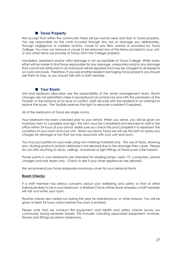# ■ **Toroa Property**

We accept that within the community there will be normal wear and tear to Toroa property. You are responsible for the costs incurred through any loss or damage you deliberately, through negligence or careless activity, cause to any item owned or provided by Toroa College. You may not remove or cause to be removed any of the items provided in your unit, or any other items we provide at Toroa, from the College property.

Vandalism, persistent and/or wilful damage is not acceptable at Toroa College. While every effort will be made to find those responsible for any damage, unreported and/or any damage that cannot be attributed to an individual will be repaired and may be charged to all residents on a pro rata basis. Therefore, if you see another resident damaging Toroa property you should ask them to stop, or you should talk with a staff member.

# ■ Your Room

Unit and bedroom allocation are the responsibility of the senior management team. Room changes are not permitted unless in exceptional circumstances and with the permission of the Tautiaki. In the instance of an issue of conflict, staff will work with the residents in an attempt to resolve the issues. The Tautiaki reserves the right to relocate a resident if required.

All of the bedrooms at Toroa are single rooms.

Your bedroom has been checked prior to your arrival. When you arrive, you will be given an inventory form to complete and sign. This form must be completed and returned to staff in the office within 24 hours of your arrival. Make sure you check this and complete it to represent the condition of your room and your unit. When you leave Toroa we will use this form to assess any charges for damage or loss that we may associate with your unit and room.

You may put posters on your walls using non-marking materials only. The use of tacks, drawing pins, sticking products and/or cellotape is not allowed due to the damage they cause. Please do not affix anything to doors, ceilings, woodwork or light fittings as these pose a fire hazard.

Power points in your bedrooms are intended for reading lamps, radio, TV, computers, phone chargers and hair dryers only. Check to see if your other appliances are allowed.

We recommend you have adequate insurance cover for your personal items.

# **Room Checks**

If a staff member has serious concerns about your wellbeing and safety or that of other individuals likely to be in your bedroom, a Welfare Check will be done whereby a staff member will visit and enter your room.

Routine checks are carried out during the year for maintenance, or other reasons. You will be given at least 24 hours notice before the room is entered.

Please note that we conduct fire equipment and health and safety checks across our community during semester breaks. This includes checking associated equipment, furniture, fixtures and fittings located in bedrooms.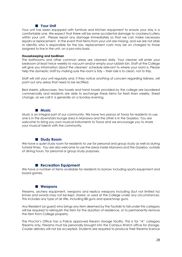# ■ **Your Unit**

Your unit has been equipped with furniture and kitchen equipment to ensure your stay is a comfortable one. We expect that there will be some accidental damage to crockery/cutlery within your unit. Please report any damage immediately so that we can make necessary repairs or replacement. In the event that items from your unit are missing, and we are not able to identify who is responsible for the loss, replacement costs may be on charged to those assigned to live in the unit, on a pro-rata basis.

#### **Housekeeping and bedlinen**

The bathrooms and other common areas are cleaned daily. Your cleaner will enter your bedroom at least twice weekly to vacuum and/or empty your rubbish bin. Staff at the College will give you information about the cleaners' schedule relevant to where your room is. Please help the domestic staff by making sure the room is tidy – their role is to clean, not to tidy.

Staff will visit your unit regularly and, if they notice anything of concern regarding tidiness, will point out any areas that need to be rectified.

Bed sheets, pillowcases, tea towels and hand towels provided by the college are laundered commercially and residents are able to exchange these items for fresh linen weekly. Sheet change, as we call it, is generally on a Sunday evening.

#### ■ **Music**

Music is an integral part of our community. We have two pianos at Toroa for residents to use, one is in the downstairs lounge area in Manawa and the other is in the Gazebo. You are welcome to bring you own musical instruments to Toroa and we encourage you to share your musical talents with the community.

# ■ **Study Room**

We have a quiet study room for residents to use for personal and group study as well as during tutorial times. You are also welcome to use the areas inside Manawa and the Gazebo, outside of dining hours, for personal or group study purposes.

# ■ **Recreation Equipment**

We have a number of items available for residents to borrow including sports equipment and board games.

# ■ **Weapons**

Firearms, archery equipment, weapons and replica weapons including (but not limited to) knives and swords may not be kept, stored, or used at the College under any circumstances. This includes any type of air rifle, including BB guns and spear/snap guns.

Any Resident (or guest) who brings any item deemed by the Tautiaki to fall under this category will be required to relinquish the item for the duration of residence, or to permanently remove the item from College property.

The Proctor's Office has a Police approved firearm storage facility. This is for "A" category firearms only. Firearms must be personally brought into the Campus Watch office for storage. Courier delivery will not be accepted. Students are required to produce their firearms licence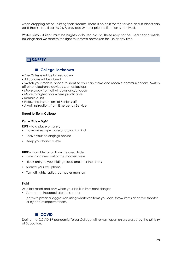when dropping off or uplifting their firearms. There is no cost for this service and students can uplift their stored firearms 24/7, provided 24-hour prior notification is received.

Water pistols, if kept, must be brightly coloured plastic. These may not be used near or inside buildings and we reserve the right to remove permission for use at any time.

# ❑**SAFETY**

# ■ College Lockdown

- The College will be locked down
- All curtains will be closed
- Switch your mobile phone to silent so you can make and receive communications. Switch off other electronic devices such as laptops.
- Move away from all windows and/or doors
- Move to higher floor where practicable
- Remain quiet
- Follow the instructions of Senior staff
- Await instructions from Emergency Service

#### **Threat to life in College**

#### *Run – Hide – Fight*

**RUN** – to a place of safety

- Have an escape route and plan in mind
- Leave your belongings behind
- Keep your hands visible

#### **HIDE** – if unable to run from the area, hide

- Hide in an area out of the shooters view
- Block entry to your hiding place and lock the doors
- Silence your cell phone
- Turn off lights, radios, computer monitors

#### **Fight**

As a last resort and only when your life is in imminent danger

• Attempt to incapacitate the shooter

Act with physical aggression using whatever items you can, throw items at active shooter or try and overpower them.

# ■ **COVID**

During the COVID-19 pandemic Toroa College will remain open unless closed by the Ministry of Education.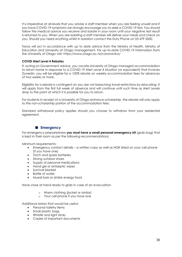It is imperative at all levels that you advise a staff member when you are feeling unwell and if you have COVID-19 symptoms we strongly encourage you to seek a COVID-19 test. You should follow the medical advice you receive and isolate in your room until your negative test result is returned to you. When you are isolating a staff member will deliver your meals and check on you. Should you need anything whilst in isolation contact the Duty Phone on 03 479 5500.

Toroa will act in accordance with up to date advice from the Ministry of Health, Ministry of Education and University of Otago management. For up-to-date COVID-19 information from the University of Otago visit:<https://www.otago.ac.nz/coronavirus/>

# **COVID Alert Level 4 Rebates**

If, acting on Government advice, you vacate University of Otago managed accommodation to return home in response to a COVID-19 Alert Level 4 situation (or equivalent) that involves Dunedin, you will be eligible for a 100% rebate on weekly accommodation fees for absences of two weeks or more.

Eligibility for a rebate is contingent on you are not breaching travel restrictions by relocating. It will apply from the first full week of absence and will continue until such time as Alert Levels drop to the point at which it is possible for you to return.

For students in receipt of a University of Otago entrance scholarship, the rebate will only apply to the non-scholarship portion of the accommodation fees.

Standard withdrawal policy applies should you choose to withdraw from your residential agreement.

# ■ **Emergency**

For emergency preparedness **you must have a small personal emergency kit** (grab bag) that is kept in their room as per the following recommendations:

Minimum requirements:

- Emergency contact details a written copy as well as NOK listed on your cell phone (if you have one)
- Torch and spare batteries
- Strong outdoor shoes
- Supply of personal medications
- Hand gel or antiseptic wipes
- Survival blanket
- Bottle of water
- Muesli bars or similar energy food

Have close at hand ready to grab in case of an evacuation:

- o Warm clothing (jacket or similar)
- o Your cell phone if you have one

Additional extras that would be useful:

- Personal toiletry items
- Small plastic bags
- Whistle and light sticks
- Copies of important documents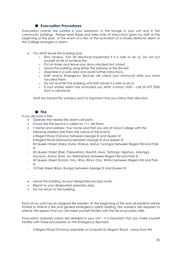# ■ **Evacuation Procedures**

Evacuation notices are posted in your bedroom, in the lounge in your unit and in the community buildings. Please read these and take note of instructions given by staff at the beginning of the year. In the event of a fire, or the activation of a smoke detector alarm or the College emergency alarm:

- You MUST leave the building and:
	- o Shut window, turn off electrical equipment if it is safe to do so. Do not put yourself at risk to achieve this.
	- o Put on shoes and leave your door unlocked but closed
	- o Leave the building using either the stairway or the fire exit
	- o Assemble in a safe area and await further instructions.
	- o Staff and/or Emergency Services will check your room/unit after you have vacated them.
	- o Do not re-enter the building until staff advise it is safe to do so
	- o If your smoke alarm has activated you MUST contact staff call 03 479 5500 from a cell phone

*Staff are trained fire wardens and it is important that you follow their direction.*

# ■ **Fire**

If you discover a Fire:

- Operate the nearest fire alarm call point
- Ensure the Fire Service is called on 111, tell them:
- • Name and address: Your name and that you are at Toroa College with the following address (tell them the nature of the event)
- 6 Regent Road (Tuhono) between George St and Queen St
- 8 Regent Road (Manawa) between George St and Queen St
- 85 Queen Street (Haka, Koha, Wairua, Mana, Turanga) between Regent Rd and Park St
- 83 Queen Street (Raki, Pakiwaitara, Rawhiti, Awa, Taitonga, Ngahuru, Maunga, Hauauru, Aroha, Roto, Iwi, Wahinetoa) between Regent Rd and Park St
- 69 Queen Street (Kotahi, Toru, Wha, Rima, Ono, Whitu) between Regent Rd and Park St
- 10 Park Street (Raro, Runga) between George St and Queen St
- Leave the building via your designated escape route.
- Report to your designated assembly area.
- Do not return to the building

Each of our units has an assigned fire warden. At the beginning of the year all residents will be invited to attend a fire and general emergency safety briefing. Fire wardens are required to attend. We expect that you will make yourself familiar with the fire evacuation drills.

Evacuation assembly points are detailed in your unit – it is important that you make yourself familiar with these procedures on the Emergency flipcharts

- 6 Regent Road (Tuhono) *assemble on footpath by Regent Road – away from fire*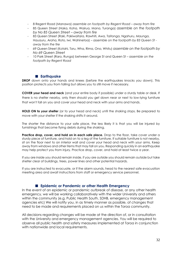- 8 Regent Road (Manawa) *assemble on footpath by Regent Road – away from fire*
- 85 Queen Street (Haka, Koha, Wairua, Mana, Turanga) *assemble on the footpath by No 85 Queen Street – away from fire*
- 83 Queen Street (Raki, Pakiwaitara, Rawhiti, Awa, Taitonga, Ngahuru, Maunga, Hauauru, Aroha, Roto, Iwi, Wahinetoa) – *assemble on the footpath by 83 Queen St away from the fire*
- *69 Q*ueen Street (Kotahi, Toru, Wha, Rima, Ono, Whitu) *assemble on the footpath by No 69 Queen Street*
- 10 Park Street (Raro, Runga) between George St and Queen St *assemble on the footpath by Regent Road*

# ■ **Earthquake**

**DROP** down onto your hands and knees (before the earthquakes knocks you down). This position protects you from falling but allows you to still move if necessary.

**COVER your head and neck** (and your entire body if possible) under a sturdy table or desk. If there is no shelter nearby, only then should you get down near or next to low-lying furniture that won't fall on you and cover your head and neck with your arms and hands.

**HOLD ON to your shelter** (or to your head and neck) until the shaking stops. Be prepared to move with your shelter if the shaking shifts it around.

The shorter the distance to your safe place, the less likely it is that you will be injured by furnishings that become flying debris during the shaking.

Practice drop, cover, and hold on in each safe place. Drop to the floor, take cover under a sturdy piece of furniture, and hold on to a leg of the furniture. If suitable furniture is not nearby, sit on the floor next to an interior wall and cover your head and neck with your arms. Keep away from windows and other items that may fall on you. Responding quickly in an earthquake may help protect you from injury. Practice drop, cover, and hold at least twice a year.

If you are inside you should remain inside, if you are outside you should remain outside but take shelter clear of buildings, trees, power lines and other potential hazards.

If you are instructed to evacuate, or if the alarm sounds, head to the nearest safe evacuation meeting area and await instructions from staff or emergency service personnel.

# ■ **Epidemic or Pandemic or other Health Emergency**

In the event of an epidemic or pandemic outbreak of disease, or any other health emergency, we will be working collaboratively with the wider University and others within the community (e.g. Public Health South, SDHB, emergency management agencies etc) We will notify you, in as timely manner as possible, of changes that need to be made and requirements placed on us within the Toroa community.

All decisions regarding changes will be made at the direction of, or in consultation with the University and emergency management agencies. You will be required to observe all public health and safety measures implemented at Toroa in conjunction with nationwide and local requirements.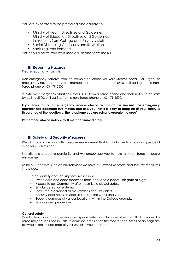You are expected to be prepared and adhere to

- Ministry of Health Directives and Guidelines
- Ministry of Education Directives and Guidelines
- Instructions from College and University staff
- Social Distancing Guidelines and Restrictions
- Sanitising Requirements

You should have your own medical kit and face masks.

# ■ **Reporting Hazards**

Please report any hazards.

Non-emergency hazards can be completed online via your StarRez portal. For urgent or emergency hazards a duty staff member can be contacted on 5500 or, if calling from a non-Toroa phone on 03 479 5500.

In extreme emergency situations, dial (1)111 from a Toroa phone and then notify Toroa staff by calling 5500, or if calling from a non-Toroa phone on 03 479 5500.

**If you have to call an emergency service, always remain on the line until the emergency operator has adequate information and tells you that it is okay to hang up (if your safety is threatened at the location of the telephone you are using, evacuate the area).** 

**Remember, always notify a staff member immediately.**

# ■ **Safety and Security Measures**

We aim to provide you with a secure environment that is conducive to study and peaceful living for each resident.

Security is a shared responsibility and we encourage you to help us keep Toroa a secure environment.

To help us achieve such an environment we have put extensive safety and security measures into place.

Toroa's safety and security features include

- Swipe card and code access to main door and a pedestrian gate at night.
- Access to our Community after hours is via closed gates.
- Smoke detection systems.
- Staff who are trained as fire wardens and first aiders
- Security after hours at specific times of the week and year.
- Security cameras at various locations within the College grounds.
- Simple guest procedure.

#### **General safety**

Due to Health and Safety reasons and space restrictions, furniture other than that provided by Toroa may not be used in units, in common areas or on the roof terrace. Small bean bags are allowed in the lounge area of your unit or in your bedroom.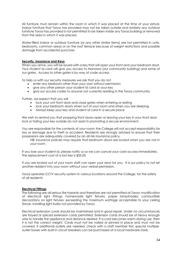All furniture must remain within the room in which it was placed at the time of your arrival. Indoor furniture that Toroa has provided may not be taken outside and similarly any outdoor furniture Toroa has provided is not permitted to be taken inside any Toroa building or removed from the area in which it was placed.

Water-filled indoor or outdoor furniture (or any other similar items) are not permitted in units, bedrooms, common areas or on the roof terrace because of weight restrictions and possible damage from accidental puncture.

#### **Security, Insurance and Keys**

When you arrive, you will be issued with a key that will open your front and your bedroom door. Your student id card will give you access to Manawa (our community building) and some of our gates. Access to other gates is by way of code access.

To help us with our security measures we ask that you do not

- enter any bedroom other than your own without permission
- give any other person your student id card or your key
- give our access codes to anyone not currently residing in the Toroa community

Further, we expect that you will

- lock your unit front door and close gates when entering or exiting
- lock your bedroom doors when out of your room and when you are sleeping
- Always keep your key and student id card in a secure place

We wish to remind you that propping front doors open or leaving your key in your front door lock or hiding your key outside do not assist in promoting a secure environment.

You are responsible for the contents of your room; the College will not accept responsibility for loss or damage due to theft or accident. Residents are strongly advised to ensure that their possessions are adequately covered by an all risk insurance policy.

*NB: Insurance policies may require that bedroom doors are locked when you are not in your room*.

If you lose your student id, please notify us so we can cancel your card access immediately. The replacement cost of a lost key is \$35.00.

If you are locked out of your room staff can open your door for you. It is our policy to not let another resident into your room without your verbal permission.

Toroa operates CCTV security system in various locations around the College, for the safety of all residents

#### **Electrical Fittings**

The following are all serious fire hazards and therefore are not permitted at Toroa: modification of electrical light fittings; homemade light fixtures; paper lampshades; combustible decorations on light fixtures; exceeding the maximum wattage acceptable to your ceiling fixture, installing light bulbs not provided by Toroa

Electrical extension cords should be maintained and in good repair. Under no circumstances are frayed or spliced extension cords permitted. Extension cords should be of heavy enough wire to handle the appliance and distance desired. If a cord becomes warm during use, then it is not the correct weight. Cords must not be nailed or pinned in place and must not be covered. If additional outlets are needed, check with a staff member first, special multipleoutlet boxes with built-in circuit breakers can be purchased at a local hardware store.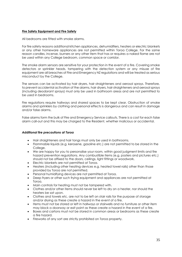# **Fire Safety Equipment and Fire Safety**

All bedrooms are fitted with smoke alarms.

For fire safety reasons additional kitchen appliances, dehumidifiers, heaters or electric blankets or any other homeware appliances are not permitted within Toroa College. For the same reason candles, incense, burners or any other item that has or requires a naked flame are not be used within any College bedroom, common space or corridor.

The smoke alarm sensors are sensitive for your protection in the event of a fire. Covering smoke detectors or sprinkler heads, tampering with the detection system or any misuse of fire equipment are all breaches of Fire and Emergency NZ regulations and will be treated as serious misconduct by the College.

The sensors can be activated by hair dryers, hair straighteners and aerosol sprays. Therefore, to prevent accidental activation of the alarms, hair dryers, hair straighteners and aerosol sprays (including deodorant sprays) must only be used in bathroom areas and are not permitted to be used in bedrooms.

Fire regulations require hallways and shared spaces to be kept clear. Obstruction of smoke alarms and sprinklers by clothing and personal effects is dangerous and can result in damage and/or false alarms.

False alarms form the bulk of Fire and Emergency Service callouts. There is a cost for each false alarm call-out and this may be charged to the Resident, whether malicious or accidental.

#### *Additional fire precautions at Toroa*

- Hair straighteners and hair tongs must only be used in bathrooms.
- Flammable liquids (e.g. kerosene, gasoline etc.) are not permitted to be stored in the College.
- We are happy for you to personalise your room, within good judgment limits and fire hazard prevention regulations. Any combustible items (e.g. posters and pictures etc.) should not be affixed to the doors, ceilings, light fittings or woodwork.
- Electric blankets are not permitted at Toroa.
- Heaters (including other heating devices e.g. heated towel rails) other than those provided by Toroa are not permitted.
- Personal humidifying devices are not permitted at Toroa.
- Deep fryers or other such frying equipment and appliances are not permitted at Toroa.
- Main controls for heating must not be tampered with.
- Clothes and/or other items should never be left to dry on a heater, nor should the heaters be sat upon.
- Clothes and towels etc. are not to be left on stair rails for the purpose of storage and/or drying as these create a hazard in the event of a fire.
- Items must not be stored or left in hallways or stairwells and no furniture or other item may block a doorway or exit point as these create a hazard in the event of a fire.
- Boxes and cartons must not be stored in common areas or bedrooms as these create a fire hazard.
- Fireworks of any sort are strictly prohibited on Toroa property.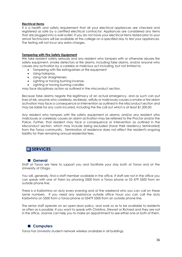#### **Electrical items**

It is a health and safety requirement that all your electrical appliances are checked and registered as safe by a certified electrical contractor. Appliances are considered any items that are plugged into a wall outlet. If you do not have your electrical items tested prior to your arrival Technicians will be available at the college on a specified day to test your appliances. The testing will not incur any extra charges.

### **Tampering with Fire Safety Equipment**

We take resident safety seriously and any resident who tampers with or otherwise abuses fire safety equipment, smoke detectors or fire alarms, including false alarms, and/or anyone who causes any activation by a careless or malicious act including, but not limited to:

- Tampering with fire extinguishers or fire equipment
- Using hairspray,
- Using hair straighteners
- Lighting or having burning incense,
- Lighting or having burning candles

may face disciplinary action as outlined in the misconduct section.

Because false alarms negate the legitimacy of an actual emergency, and as such can put lives at risk, anyone who carelessly, recklessly, wilfully or maliciously causes a smoke or fire alarm activation may face a consequence or intervention as outlined in the Misconduct section and may be liable for any costs incurred, including the fire call out which is at least \$1,200.00.

Any resident who tampers with fire safety equipment or alarms; and/or any resident who maliciously or carelessly causes an alarm activation may be referred to the Proctor and/or the Police. Further, that resident may face a consequence or intervention as outlined in the Misconduct section, which may include being excluded (have their residency terminated) from the Toroa community. Termination of residence does not affect the resident's ongoing liability for their remaining annual residential fees.

# ❑**SERVICES**

# ■ **General**

Staff at Toroa are here to support you and facilitate your stay both at Toroa and at the University of Otago.

You will, generally, find a staff member available in the office. If staff are not in the office you can speak with one of them by phoning 5500 from a Toroa phone or 03 479 5500 from an outside phone line.

There is a Kaiāwhina on duty every evening and at the weekend who you can call on these same numbers. If you need any assistance outside office hours you can call the duty Kaiāwhina on 5500 from a Toroa phone or 03479 5500 from an outside phone line.

The senior staff operate on an open-door policy, and work so as to be available to residents as often as is possible. If you want to speak with Christina, Stewart or Richard and they are not in the office, Joanne can help you to make an appointment to see either one or both of them.

# ■ **Computers**

Toroa has University student network wireless available in all buildings.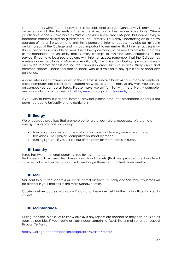Internet access within Toroa is provided at no additional charge. Connectivity is provided as an extension of the University's Internet services, on a best endeavours basis. Where practicable, access is available by Wireless or via a hard-wired LAN port, but connectivity in bedrooms cannot always be guaranteed. The University is currently undertaking an extensive upgrade of the entire system and, until this is complete, Internet access may also be limited in certain areas of the College and it is also important to remember that Internet access may slow or become unavailable at times due to heavy demand, or the need to provide upgrades or maintenance. The University makes every attempt to minimise such disruptions to the service. If you have localised problems with Internet access remember that the College has wireless access available in Manawa. Additionally, the University of Otago provides wireless and wired Internet access around the campus in areas such as libraries, study areas and common spaces. Please feel free to speak with us if you have any questions or need any assistance.

A computer suite with free access to the internet is also available 24 hours a day to residents. These computers are linked to the Student network, as is the printer, so any work you can do on campus you can do at Toroa. Please make yourself familiar with the University computer use policy which you can view at:<http://www.its.otago.ac.nz/students/handbook>

If you wish to have a personal internet provider please note that broadband access is not permitted due to University phone restrictions.

# ■ **Energy**

We encourage practices that promote better use of our natural resources. We promote energy saving practices including:

- Turning appliances off at the wall this includes not leaving microwaves, stereos, televisions, DVD players, computers on stand-by mode.
- Turning lights off if you will be out of the room for more than 5 minutes.

# ■ **Laundry**

Toroa has two communal laundries, free for residents' use. Bed sheets, pillowcases, tea towels and hand towels (that we provide) are laundered commercially and residents are able to exchange these items for fresh linen weekly.

#### ■ **Mail**

Mail sent to our street address will be delivered Tuesday, Thursday and Saturday. Your mail will be placed in your mailbox in the main Manawa foyer.

Couriers deliver parcels Monday – Friday and these are held in the main office for you to collect.

# ■ **Maintenance**

During the year, please let us know quickly if any repairs are needed so they can be fixed as soon as possible. If your room or floor needs something fixed, file a maintenance request through Te Puna.

[https://College-accommodation.otago.ac.nz/StarRezPortalX](https://college-accommodation.otago.ac.nz/StarRezPortalX)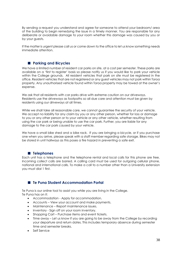By sending a request you understand and agree for someone to attend your bedroom/ area of the building to begin remedying the issue in a timely manner. You are responsible for any deliberate or avoidable damage to your room whether this damage was caused by you or by your guests.

If the matter is urgent please call us or come down to the office to let us know something needs immediate attention.

# ■ **Parking and Bicycles**

We have a limited number of resident car parks on site, at a cost per semester. These parks are available on a 'first to register' basis so please notify us if you would like to park your vehicle within the College grounds. All resident vehicles that park on site must be registered in the office. Resident vehicles that are not registered or any guest vehicles may not park within Toroa property. Any unauthorised vehicle found within Toroa property may be towed at the owner's expense.

We ask that all residents with car parks drive with extreme caution on our driveways. Residents use the driveways as footpaths so all due care and attention must be given by residents using our driveways at all times.

While we shall take all reasonable care, we cannot guarantee the security of your vehicle. We accept no liability for any claim by you or any other person, whether for loss or damage to you or any other person or to your vehicle or any other vehicle, whether resulting from using the car park or being unable to use the car park. Further, you are liable for any damage to the car park caused by your vehicle.

We have a small bike shed and a bike rack. If you are bringing a bicycle, or if you purchase one when you arrive, please speak with a staff member regarding safe storage. Bikes may not be stored in unit hallways as this poses a fire hazard in preventing a safe exit.

# ■ **Telephones**

Each unit has a telephone and the telephone rental and local calls for this phone are free. Incoming collect calls are barred. A calling card must be used for outgoing cellular phone, national and international calls. To make a call to a number other than a University extension you must dial 1 first.

# ■ **Te Puna Student Accommodation Portal**

Te Puna is our online tool to assist you while you are living in the College. Te Puna has on it:

- Accommodation Apply for accommodation.
- Accounts View your account and make payments.
- Maintenance Report maintenance issues.
- Inventory Sign off on your room inventory.
- Shopping Cart Purchase items and event tickets.
- Time away Let us know if you are going to be away from the College by recording your departure and return dates. This includes temporary absence during semester time and semester breaks.
- Self Service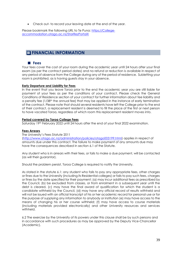• Check out- to record your leaving date at the end of the year.

Please bookmark the following URL to Te Puna: [https://College](https://college-accommodation.otago.ac.nz/StarRezPortalX)[accommodation.otago.ac.nz/StarRezPortalX](https://college-accommodation.otago.ac.nz/StarRezPortalX)

# ❑**FINANCIAL INFORMATION**

# ■ **Fees**

Your fees cover the cost of your room during the academic year until 24 hours after your final exam (as per the contract period dates) and no refund or reduction is available in respect of any period of absence from the College during any of the period of residence. Subletting your room is prohibited, as is having guests stay in your absence.

#### **Early Departure and Liability for Fees**

In the event that you leave Toroa prior to the end the academic year you are still liable for payment of your fees as per the conditions of your contract. Please check the General Conditions of Residence section of your contract for further information about fee liability and a penalty fee (1/38th the annual fee) that may be applied in the instance of early termination of the contract. Please note that should several residents have left the College prior to the end of their contract, a replacement resident is deemed to fill the place of the first or next person to have vacated Toroa, regardless of which room this replacement resident moves into.

#### **Period covered by Toroa College Fees**

Saturday 19<sup>th</sup> February 2022 until 24 hours after the end of your final 2022 examination.

#### **Fees Arrears**

The University's Fees Statute 2011

[\(http://www.otago.ac.nz/administration/policies/otago003199.html\)](http://www.otago.ac.nz/administration/policies/otago003199.html) applies in respect of amounts due under this contract. The failure to make payment of any amounts due may have the consequences described in section 6.1 of the Statute.

Any student who is in arrears with their fees, or fails to make a due payment, will be contacted (as will their guarantor).

Should the problem persist, Toroa College is required to notify the University.

As stated in the statute 6.1: any student who fails to pay any appropriate fees, other charges or fines due to the University (including its Residential colleges) or fails to pay such fees, charges or fines by the date specified for their payment: (a) may incur additional fees as prescribed by the Council, (b) be excluded from classes, or from enrolment in a subsequent year until the debt is cleared, (c) may have the final award of qualification for which the student is a candidate withheld by the Council, (d) may have any official record of results withheld and will not be issued with an official transcript of his or her academic record for personal use or for the purpose of supplying any information to anybody or institution (e) may have access to the means of changing his or her course withheld; (f) may have access to course materials (including materials provided electronically) and other University resources and services withheld.

6.2 The exercise by the University of its powers under this clause shall be by such persons and in accordance with such procedures as may be approved by the Deputy Vice-Chancellor (Academic).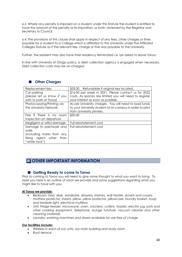6.3. Where any penalty is imposed on a student under this Statute the student is entitled to have the amount of the penalty or its imposition, or both, reviewed by the Registrar and Secretary to Council.

6.4. The provisions of this clause shall apply in respect of any fees, other charges or fines payable by a student to a College which is affiliated to the University under the Affiliated Colleges Statute as if the relevant fee, charge or fine was payable to the University.

Further, the resident may also have their residency terminated *i.e.* be asked to leave Toroa.

In line with University of Otago policy, a debt collection agency is engaged when necessary. Debt collection costs may be on-charged

| Replacement key            | \$35.00. Refundable if original key located.              |  |  |
|----------------------------|-----------------------------------------------------------|--|--|
| Car parking                | \$16.00 per week in 2021. Please contact us for 2022      |  |  |
| (please let us know if you | costs. As spaces are limited you will need to register    |  |  |
| wish to park at Toroa)     | your interest as soon as possible.                        |  |  |
| Photocopying/Printing via  | As per University charges. You will need to load funds    |  |  |
| the University Network     | to your University student id on campus in order to print |  |  |
|                            | from University printers.                                 |  |  |
| Fee if there is no room    | \$50.00                                                   |  |  |
| inspection on departure    |                                                           |  |  |
| Negligent or wilful damage | Full reinstatement cost                                   |  |  |
| Damage to paintwork and    | Full reinstatement cost                                   |  |  |
| walls                      |                                                           |  |  |
| (including marks from any  |                                                           |  |  |
| fixing agent other<br>than |                                                           |  |  |
| "white tack")              |                                                           |  |  |

# ■ **Other Charges**

# ❑**OTHER IMPORTANT INFORMATION**

# ■ Getting Ready to come to Toroa

Prior to coming to Toroa you will need to give some thought to what you want to bring. To assist you here is an outline of what we provide and some suggestions regarding what you might like to have with you.

#### **At Toroa we provide:**

- Bedroom: *bed, desk, wardrobe, drawers, shelves, wall heater, duvets and covers, mattress protector, sheets, pillow, pillow protector, pillowcase, laundry basket, study and bedside light, electrical multibox*
- Unit: *Fridge-freezer, microwave, oven, crockery, cutlery, toaster, electric jug, pots and other cooking equipment, telephone, lounge furniture, vacuum cleaner and other cleaning materials*
- Laundry: *washing machines and dryers available for use free of charge*

#### **Our facilities include:**

- Wireless in each of our units, our main building and study room
- Roof terrace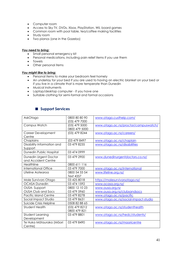- Computer room
- Access to Sky TV, DVDs, Xbox, PlayStation, Wii, board games
- Common room with pool table, tea/coffee making facilities
- Study room
- Two pianos (one in the Gazebo)

#### *You need to bring:*

- Small personal emergency kit
- Personal medications, including pain relief items if you use them
- Towels
- Other personal items

#### *You might like to bring:*

- Personal items to make your bedroom feel homely
- An underlay for your bed if you are used to having an electric blanket on your bed or if you live in a climate that is more temperate than Dunedin
- Musical instruments
- Laptop/desktop computer if you have one
- Suitable clothing for semi-formal and formal occasions

# ■ **Support Services**

| AskOtago                     | 0800 80 80 90   | www.otago.custhelp.com/              |
|------------------------------|-----------------|--------------------------------------|
|                              | (03) 479 7000   |                                      |
| Campus Watch                 | $(03)$ 479 5000 | www.otago.ac.nz/proctor/campuswatch/ |
|                              | 0800 479 5000   |                                      |
| <b>Career Development</b>    | (03) 479 8244   | www.otago.ac.nz/careers/             |
| Centre                       |                 |                                      |
| Chaplains                    | (03 479 8497    | www.otago.ac.nz/chaplain             |
| Disability Information and   | 03 479 8235     | www.otago.ac.nz/disabilities         |
| Support                      |                 |                                      |
| Dunedin Public Hospital      | 03 474 0999     |                                      |
| Dunedin Urgent Doctor        | 03 479 2900     | www.dunedinurgentdoctors.co.nz/      |
| and Accident Centre          |                 |                                      |
| Healthline                   | 0800 611 116    |                                      |
| <b>International Office</b>  | 03 479 7000     | www.otago.ac.nz/international        |
| Lifeline Aotearoa            | 0800 54 33 54   | www.lifeline.org.nz/                 |
|                              | Text 4357       |                                      |
| Male Survivors Otago         | 03 425 8018     | https://malesurvivorsotago.nz/       |
| <b>OCASA Dunedin</b>         | 03 474 1592     | www.ocasa.org.nz/                    |
| OUSA-Support                 | 0800 12 10 23   | www.ousa.org.nz                      |
| OUSA Club and Socs           | 03 479 5960     | www.ousa.org.nz/clubsandsocs         |
| <b>Pacific Island Centre</b> | 03 479 8278     | www.otago.ac.nz/pacific              |
| Social Impact Studio         | 03 479 8631     | www.otago.ac.nz/social-impact-studio |
| Suicide Crisis Helpline      | 0508 82 88 65   |                                      |
| <b>Student Health</b>        | (03) 479 8212   | www.otago.ac.nz/studenthealth        |
|                              | 0800 479 821    |                                      |
| Student Learning             | 03 479 8801     | www.otago.ac.nz/hedc/students/       |
| Development                  |                 |                                      |
| Te Huka Mātauraka (Māori     | 03 479 8490     | www.otago.ac.nz/maoricentre          |
| Centre)                      |                 |                                      |